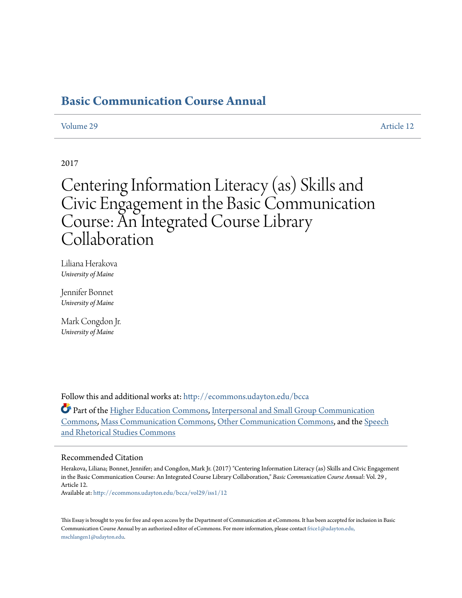### **[Basic Communication Course Annual](http://ecommons.udayton.edu/bcca?utm_source=ecommons.udayton.edu%2Fbcca%2Fvol29%2Fiss1%2F12&utm_medium=PDF&utm_campaign=PDFCoverPages)**

#### [Volume 29](http://ecommons.udayton.edu/bcca/vol29?utm_source=ecommons.udayton.edu%2Fbcca%2Fvol29%2Fiss1%2F12&utm_medium=PDF&utm_campaign=PDFCoverPages) [Article 12](http://ecommons.udayton.edu/bcca/vol29/iss1/12?utm_source=ecommons.udayton.edu%2Fbcca%2Fvol29%2Fiss1%2F12&utm_medium=PDF&utm_campaign=PDFCoverPages)

#### 2017

## Centering Information Literacy (as) Skills and Civic Engagement in the Basic Communication Course: An Integrated Course Library Collaboration

Liliana Herakova *University of Maine*

Jennifer Bonnet *University of Maine*

Mark Congdon Jr. *University of Maine*

Follow this and additional works at: [http://ecommons.udayton.edu/bcca](http://ecommons.udayton.edu/bcca?utm_source=ecommons.udayton.edu%2Fbcca%2Fvol29%2Fiss1%2F12&utm_medium=PDF&utm_campaign=PDFCoverPages)

Part of the [Higher Education Commons](http://network.bepress.com/hgg/discipline/1245?utm_source=ecommons.udayton.edu%2Fbcca%2Fvol29%2Fiss1%2F12&utm_medium=PDF&utm_campaign=PDFCoverPages), [Interpersonal and Small Group Communication](http://network.bepress.com/hgg/discipline/332?utm_source=ecommons.udayton.edu%2Fbcca%2Fvol29%2Fiss1%2F12&utm_medium=PDF&utm_campaign=PDFCoverPages) [Commons,](http://network.bepress.com/hgg/discipline/332?utm_source=ecommons.udayton.edu%2Fbcca%2Fvol29%2Fiss1%2F12&utm_medium=PDF&utm_campaign=PDFCoverPages) [Mass Communication Commons,](http://network.bepress.com/hgg/discipline/334?utm_source=ecommons.udayton.edu%2Fbcca%2Fvol29%2Fiss1%2F12&utm_medium=PDF&utm_campaign=PDFCoverPages) [Other Communication Commons](http://network.bepress.com/hgg/discipline/339?utm_source=ecommons.udayton.edu%2Fbcca%2Fvol29%2Fiss1%2F12&utm_medium=PDF&utm_campaign=PDFCoverPages), and the [Speech](http://network.bepress.com/hgg/discipline/338?utm_source=ecommons.udayton.edu%2Fbcca%2Fvol29%2Fiss1%2F12&utm_medium=PDF&utm_campaign=PDFCoverPages) [and Rhetorical Studies Commons](http://network.bepress.com/hgg/discipline/338?utm_source=ecommons.udayton.edu%2Fbcca%2Fvol29%2Fiss1%2F12&utm_medium=PDF&utm_campaign=PDFCoverPages)

#### Recommended Citation

Herakova, Liliana; Bonnet, Jennifer; and Congdon, Mark Jr. (2017) "Centering Information Literacy (as) Skills and Civic Engagement in the Basic Communication Course: An Integrated Course Library Collaboration," *Basic Communication Course Annual*: Vol. 29 , Article 12.

Available at: [http://ecommons.udayton.edu/bcca/vol29/iss1/12](http://ecommons.udayton.edu/bcca/vol29/iss1/12?utm_source=ecommons.udayton.edu%2Fbcca%2Fvol29%2Fiss1%2F12&utm_medium=PDF&utm_campaign=PDFCoverPages)

This Essay is brought to you for free and open access by the Department of Communication at eCommons. It has been accepted for inclusion in Basic Communication Course Annual by an authorized editor of eCommons. For more information, please contact [frice1@udayton.edu,](mailto:frice1@udayton.edu,%20mschlangen1@udayton.edu) [mschlangen1@udayton.edu.](mailto:frice1@udayton.edu,%20mschlangen1@udayton.edu)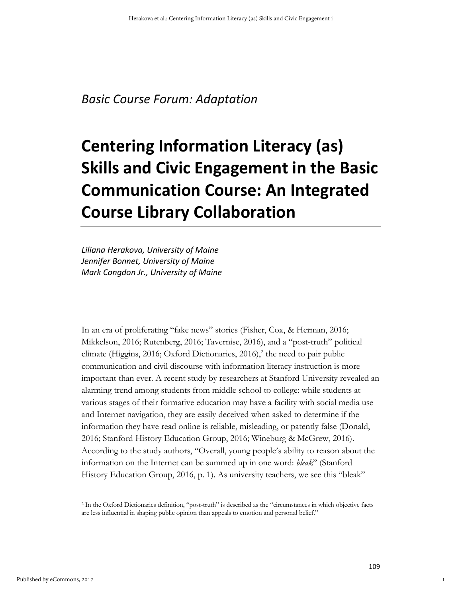# **Centering Information Literacy (as) Skills and Civic Engagement in the Basic Communication Course: An Integrated Course Library Collaboration**

*Liliana Herakova, University of Maine Jennifer Bonnet, University of Maine Mark Congdon Jr., University of Maine*

In an era of proliferating "fake news" stories (Fisher, Cox, & Herman, 2016; Mikkelson, 2016; Rutenberg, 2016; Tavernise, 2016), and a "post-truth" political climate (Higgins, 2016; Oxford Dictionaries, 2016),<sup>2</sup> the need to pair public communication and civil discourse with information literacy instruction is more important than ever. A recent study by researchers at Stanford University revealed an alarming trend among students from middle school to college: while students at various stages of their formative education may have a facility with social media use and Internet navigation, they are easily deceived when asked to determine if the information they have read online is reliable, misleading, or patently false (Donald, 2016; Stanford History Education Group, 2016; Wineburg & McGrew, 2016). According to the study authors, "Overall, young people's ability to reason about the information on the Internet can be summed up in one word: *bleak*" (Stanford History Education Group, 2016, p. 1). As university teachers, we see this "bleak"

 $\overline{a}$ 

1

<sup>2</sup> In the Oxford Dictionaries definition, "post-truth" is described as the "circumstances in which objective facts are less influential in shaping public opinion than appeals to emotion and personal belief."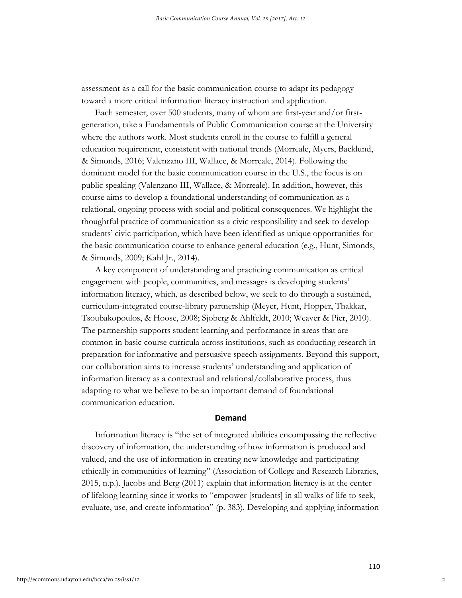assessment as a call for the basic communication course to adapt its pedagogy toward a more critical information literacy instruction and application.

Each semester, over 500 students, many of whom are first-year and/or firstgeneration, take a Fundamentals of Public Communication course at the University where the authors work. Most students enroll in the course to fulfill a general education requirement, consistent with national trends (Morreale, Myers, Backlund, & Simonds, 2016; Valenzano III, Wallace, & Morreale, 2014). Following the dominant model for the basic communication course in the U.S., the focus is on public speaking (Valenzano III, Wallace, & Morreale). In addition, however, this course aims to develop a foundational understanding of communication as a relational, ongoing process with social and political consequences. We highlight the thoughtful practice of communication as a civic responsibility and seek to develop students' civic participation, which have been identified as unique opportunities for the basic communication course to enhance general education (e.g., Hunt, Simonds, & Simonds, 2009; Kahl Jr., 2014).

A key component of understanding and practicing communication as critical engagement with people, communities, and messages is developing students' information literacy, which, as described below, we seek to do through a sustained, curriculum-integrated course-library partnership (Meyer, Hunt, Hopper, Thakkar, Tsoubakopoulos, & Hoose, 2008; Sjoberg & Ahlfeldt, 2010; Weaver & Pier, 2010). The partnership supports student learning and performance in areas that are common in basic course curricula across institutions, such as conducting research in preparation for informative and persuasive speech assignments. Beyond this support, our collaboration aims to increase students' understanding and application of information literacy as a contextual and relational/collaborative process, thus adapting to what we believe to be an important demand of foundational communication education.

#### **Demand**

Information literacy is "the set of integrated abilities encompassing the reflective discovery of information, the understanding of how information is produced and valued, and the use of information in creating new knowledge and participating ethically in communities of learning" (Association of College and Research Libraries, 2015, n.p.). Jacobs and Berg (2011) explain that information literacy is at the center of lifelong learning since it works to "empower [students] in all walks of life to seek, evaluate, use, and create information" (p. 383). Developing and applying information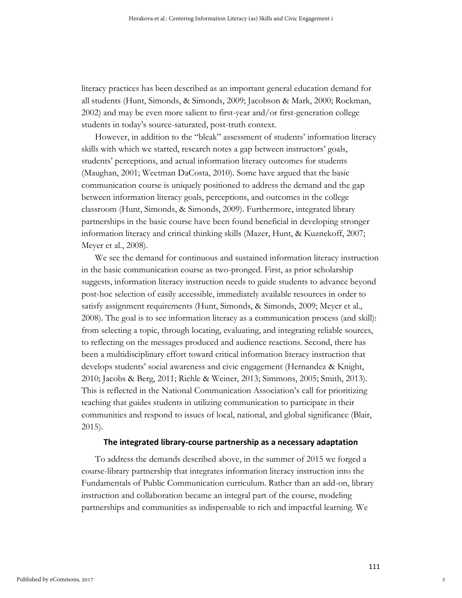literacy practices has been described as an important general education demand for all students (Hunt, Simonds, & Simonds, 2009; Jacobson & Mark, 2000; Rockman, 2002) and may be even more salient to first-year and/or first-generation college students in today's source-saturated, post-truth context.

However, in addition to the "bleak" assessment of students' information literacy skills with which we started, research notes a gap between instructors' goals, students' perceptions, and actual information literacy outcomes for students (Maughan, 2001; Weetman DaCosta, 2010). Some have argued that the basic communication course is uniquely positioned to address the demand and the gap between information literacy goals, perceptions, and outcomes in the college classroom (Hunt, Simonds, & Simonds, 2009). Furthermore, integrated library partnerships in the basic course have been found beneficial in developing stronger information literacy and critical thinking skills (Mazer, Hunt, & Kuznekoff, 2007; Meyer et al., 2008).

We see the demand for continuous and sustained information literacy instruction in the basic communication course as two-pronged. First, as prior scholarship suggests, information literacy instruction needs to guide students to advance beyond post-hoc selection of easily accessible, immediately available resources in order to satisfy assignment requirements (Hunt, Simonds, & Simonds, 2009; Meyer et al., 2008). The goal is to see information literacy as a communication process (and skill): from selecting a topic, through locating, evaluating, and integrating reliable sources, to reflecting on the messages produced and audience reactions. Second, there has been a multidisciplinary effort toward critical information literacy instruction that develops students' social awareness and civic engagement (Hernandez & Knight, 2010; Jacobs & Berg, 2011; Riehle & Weiner, 2013; Simmons, 2005; Smith, 2013). This is reflected in the National Communication Association's call for prioritizing teaching that guides students in utilizing communication to participate in their communities and respond to issues of local, national, and global significance (Blair, 2015).

#### **The integrated library-course partnership as a necessary adaptation**

To address the demands described above, in the summer of 2015 we forged a course-library partnership that integrates information literacy instruction into the Fundamentals of Public Communication curriculum. Rather than an add-on, library instruction and collaboration became an integral part of the course, modeling partnerships and communities as indispensable to rich and impactful learning. We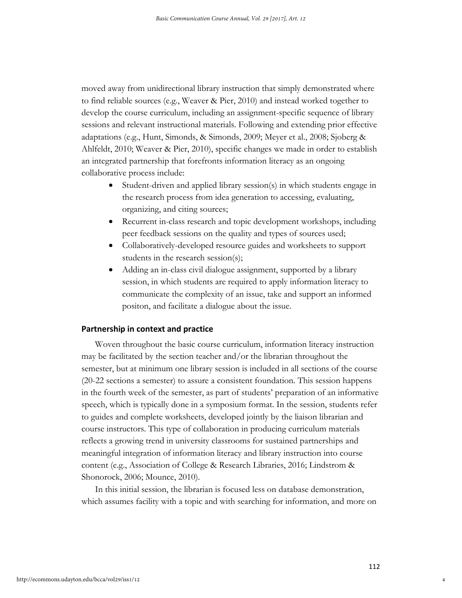moved away from unidirectional library instruction that simply demonstrated where to find reliable sources (e.g., Weaver & Pier, 2010) and instead worked together to develop the course curriculum, including an assignment-specific sequence of library sessions and relevant instructional materials. Following and extending prior effective adaptations (e.g., Hunt, Simonds, & Simonds, 2009; Meyer et al., 2008; Sjoberg & Ahlfeldt, 2010; Weaver & Pier, 2010), specific changes we made in order to establish an integrated partnership that forefronts information literacy as an ongoing collaborative process include:

- Student-driven and applied library session(s) in which students engage in the research process from idea generation to accessing, evaluating, organizing, and citing sources;
- Recurrent in-class research and topic development workshops, including peer feedback sessions on the quality and types of sources used;
- Collaboratively-developed resource guides and worksheets to support students in the research session(s);
- Adding an in-class civil dialogue assignment, supported by a library session, in which students are required to apply information literacy to communicate the complexity of an issue, take and support an informed positon, and facilitate a dialogue about the issue.

#### **Partnership in context and practice**

Woven throughout the basic course curriculum, information literacy instruction may be facilitated by the section teacher and/or the librarian throughout the semester, but at minimum one library session is included in all sections of the course (20-22 sections a semester) to assure a consistent foundation. This session happens in the fourth week of the semester, as part of students' preparation of an informative speech, which is typically done in a symposium format. In the session, students refer to guides and complete worksheets, developed jointly by the liaison librarian and course instructors. This type of collaboration in producing curriculum materials reflects a growing trend in university classrooms for sustained partnerships and meaningful integration of information literacy and library instruction into course content (e.g., Association of College & Research Libraries, 2016; Lindstrom & Shonorock, 2006; Mounce, 2010).

In this initial session, the librarian is focused less on database demonstration, which assumes facility with a topic and with searching for information, and more on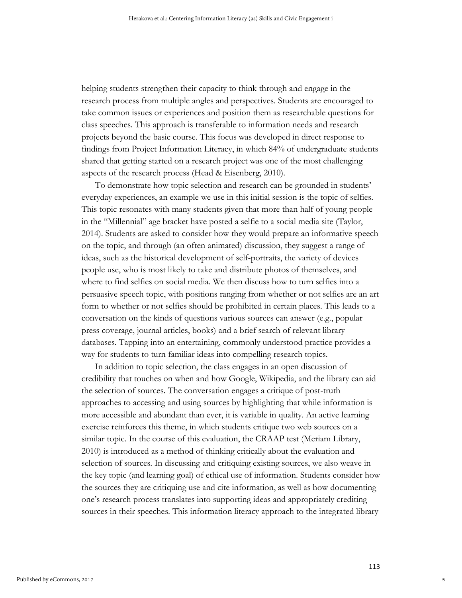helping students strengthen their capacity to think through and engage in the research process from multiple angles and perspectives. Students are encouraged to take common issues or experiences and position them as researchable questions for class speeches. This approach is transferable to information needs and research projects beyond the basic course. This focus was developed in direct response to findings from Project Information Literacy, in which 84% of undergraduate students shared that getting started on a research project was one of the most challenging aspects of the research process (Head & Eisenberg, 2010).

To demonstrate how topic selection and research can be grounded in students' everyday experiences, an example we use in this initial session is the topic of selfies. This topic resonates with many students given that more than half of young people in the "Millennial" age bracket have posted a selfie to a social media site (Taylor, 2014). Students are asked to consider how they would prepare an informative speech on the topic, and through (an often animated) discussion, they suggest a range of ideas, such as the historical development of self-portraits, the variety of devices people use, who is most likely to take and distribute photos of themselves, and where to find selfies on social media. We then discuss how to turn selfies into a persuasive speech topic, with positions ranging from whether or not selfies are an art form to whether or not selfies should be prohibited in certain places. This leads to a conversation on the kinds of questions various sources can answer (e.g., popular press coverage, journal articles, books) and a brief search of relevant library databases. Tapping into an entertaining, commonly understood practice provides a way for students to turn familiar ideas into compelling research topics.

In addition to topic selection, the class engages in an open discussion of credibility that touches on when and how Google, Wikipedia, and the library can aid the selection of sources. The conversation engages a critique of post-truth approaches to accessing and using sources by highlighting that while information is more accessible and abundant than ever, it is variable in quality. An active learning exercise reinforces this theme, in which students critique two web sources on a similar topic. In the course of this evaluation, the CRAAP test (Meriam Library, 2010) is introduced as a method of thinking critically about the evaluation and selection of sources. In discussing and critiquing existing sources, we also weave in the key topic (and learning goal) of ethical use of information. Students consider how the sources they are critiquing use and cite information, as well as how documenting one's research process translates into supporting ideas and appropriately crediting sources in their speeches. This information literacy approach to the integrated library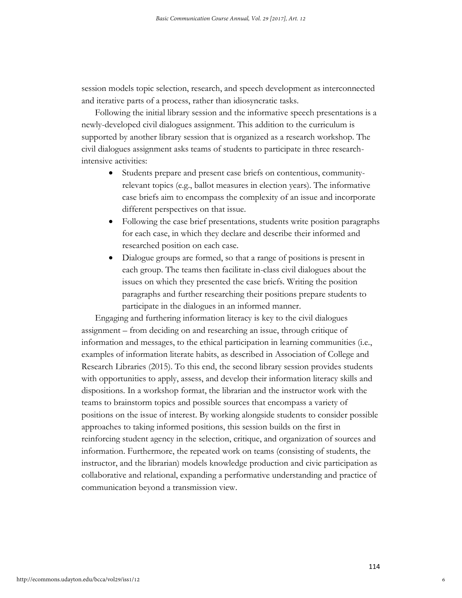session models topic selection, research, and speech development as interconnected and iterative parts of a process, rather than idiosyncratic tasks.

Following the initial library session and the informative speech presentations is a newly-developed civil dialogues assignment. This addition to the curriculum is supported by another library session that is organized as a research workshop. The civil dialogues assignment asks teams of students to participate in three researchintensive activities:

- Students prepare and present case briefs on contentious, communityrelevant topics (e.g., ballot measures in election years). The informative case briefs aim to encompass the complexity of an issue and incorporate different perspectives on that issue.
- Following the case brief presentations, students write position paragraphs for each case, in which they declare and describe their informed and researched position on each case.
- Dialogue groups are formed, so that a range of positions is present in each group. The teams then facilitate in-class civil dialogues about the issues on which they presented the case briefs. Writing the position paragraphs and further researching their positions prepare students to participate in the dialogues in an informed manner.

Engaging and furthering information literacy is key to the civil dialogues assignment – from deciding on and researching an issue, through critique of information and messages, to the ethical participation in learning communities (i.e., examples of information literate habits, as described in Association of College and Research Libraries (2015). To this end, the second library session provides students with opportunities to apply, assess, and develop their information literacy skills and dispositions. In a workshop format, the librarian and the instructor work with the teams to brainstorm topics and possible sources that encompass a variety of positions on the issue of interest. By working alongside students to consider possible approaches to taking informed positions, this session builds on the first in reinforcing student agency in the selection, critique, and organization of sources and information. Furthermore, the repeated work on teams (consisting of students, the instructor, and the librarian) models knowledge production and civic participation as collaborative and relational, expanding a performative understanding and practice of communication beyond a transmission view.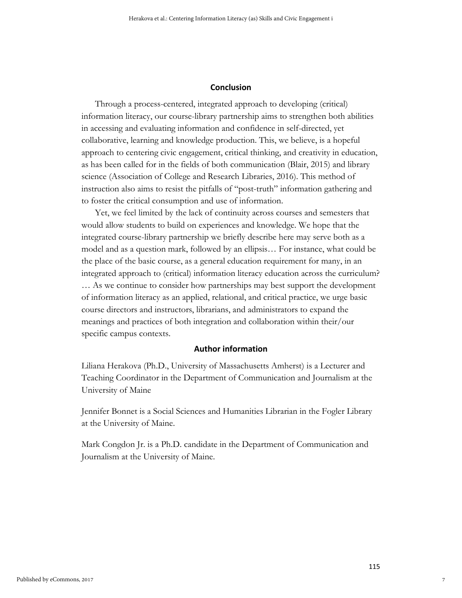#### **Conclusion**

Through a process-centered, integrated approach to developing (critical) information literacy, our course-library partnership aims to strengthen both abilities in accessing and evaluating information and confidence in self-directed, yet collaborative, learning and knowledge production. This, we believe, is a hopeful approach to centering civic engagement, critical thinking, and creativity in education, as has been called for in the fields of both communication (Blair, 2015) and library science (Association of College and Research Libraries, 2016). This method of instruction also aims to resist the pitfalls of "post-truth" information gathering and to foster the critical consumption and use of information.

Yet, we feel limited by the lack of continuity across courses and semesters that would allow students to build on experiences and knowledge. We hope that the integrated course-library partnership we briefly describe here may serve both as a model and as a question mark, followed by an ellipsis… For instance, what could be the place of the basic course, as a general education requirement for many, in an integrated approach to (critical) information literacy education across the curriculum? … As we continue to consider how partnerships may best support the development of information literacy as an applied, relational, and critical practice, we urge basic course directors and instructors, librarians, and administrators to expand the meanings and practices of both integration and collaboration within their/our specific campus contexts.

#### **Author information**

Liliana Herakova (Ph.D., University of Massachusetts Amherst) is a Lecturer and Teaching Coordinator in the Department of Communication and Journalism at the University of Maine

Jennifer Bonnet is a Social Sciences and Humanities Librarian in the Fogler Library at the University of Maine.

Mark Congdon Jr. is a Ph.D. candidate in the Department of Communication and Journalism at the University of Maine.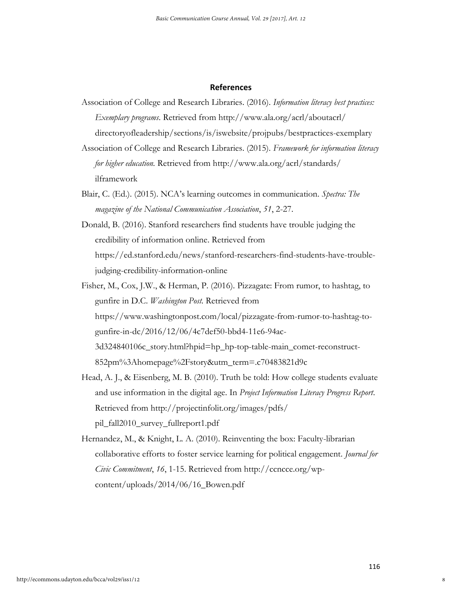#### **References**

Association of College and Research Libraries. (2016). *Information literacy best practices: Exemplary programs*. Retrieved from http://www.ala.org/acrl/aboutacrl/ directoryofleadership/sections/is/iswebsite/projpubs/bestpractices-exemplary

Association of College and Research Libraries. (2015). *Framework for information literacy for higher education.* Retrieved fro[m](http://www.ala.org/acrl/standards/ilframework) http://www.ala.org/acrl/standards/ ilframework

- Blair, C. (Ed.). (2015). NCA's learning outcomes in communication. *Spectra: The magazine of the National Communication Association*, *51*, 2-27.
- Donald, B. (2016). Stanford researchers find students have trouble judging the credibility of information online. Retrieved from https://ed.stanford.edu/news/stanford-researchers-find-students-have-troublejudging-credibility-information-online
- Fisher, M., Cox, J.W., & Herman, P. (2016). Pizzagate: From rumor, to hashtag, to gunfire in D.C. *Washington Post.* Retrieved from https://www.washingtonpost.com/local/pizzagate-from-rumor-to-hashtag-togunfire-in-dc/2016/12/06/4c7def50-bbd4-11e6-94ac-3d324840106c\_story.html?hpid=hp\_hp-top-table-main\_comet-reconstruct-852pm%3Ahomepage%2Fstory&utm\_term=.c70483821d9c
- Head, A. J., & Eisenberg, M. B. (2010). Truth be told: How college students evaluate and use information in the digital age. In *Project Information Literacy Progress Report*. Retrieved fro[m](http://projectinfolit.org/images/pdfs/pil_fall2010_survey_fullreport1.pdf) http://projectinfolit.org/images/pdfs/ pil\_fall2010\_survey\_fullreport1.pdf
- Hernandez, M., & Knight, L. A. (2010). Reinventing the box: Faculty-librarian collaborative efforts to foster service learning for political engagement. *Journal for Civic Commitment*, *16*, 1-15. Retrieved from http://ccncce.org/wpcontent/uploads/2014/06/16\_Bowen.pdf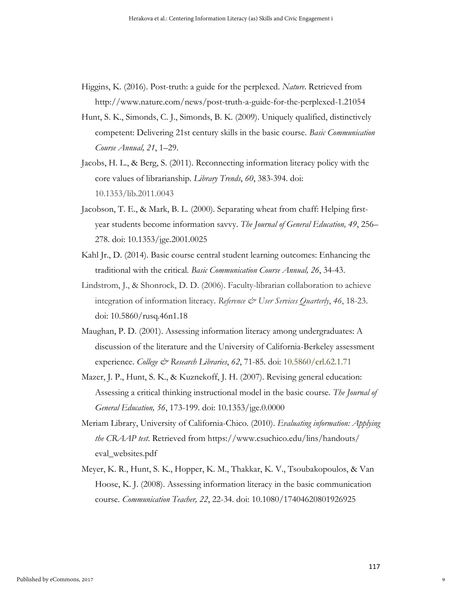- Higgins, K. (2016). Post-truth: a guide for the perplexed. *Nature*. Retrieved from http://www.nature.com/news/post-truth-a-guide-for-the-perplexed-1.21054
- Hunt, S. K., Simonds, C. J., Simonds, B. K. (2009). Uniquely qualified, distinctively competent: Delivering 21st century skills in the basic course. *Basic Communication Course Annual, 21*, 1–29.
- Jacobs, H. L., & Berg, S. (2011). Reconnecting information literacy policy with the core values of librarianship. *Library Trends*, *60*, 383-394. doi: 10.1353/lib.2011.0043
- Jacobson, T. E., & Mark, B. L. (2000). Separating wheat from chaff: Helping firstyear students become information savvy. *The Journal of General Education, 49*, 256– 278. doi: 10.1353/jge.2001.0025
- Kahl Jr., D. (2014). Basic course central student learning outcomes: Enhancing the traditional with the critical. *Basic Communication Course Annual, 26*, 34-43.
- Lindstrom, J., & Shonrock, D. D. (2006). Faculty-librarian collaboration to achieve integration of information literacy. *Reference & User Services Quarterly*, *46*, 18-23. doi: [10.5860/rusq.46n1.18](http://dx.doi.org/10.5860/rusq.46n1.18)
- Maughan, P. D. (2001). Assessing information literacy among undergraduates: A discussion of the literature and the University of California-Berkeley assessment experience. *College & Research Libraries*, *62*, 71-85. doi: 10.5860/crl.62.1.71
- Mazer, J. P., Hunt, S. K., & Kuznekoff, J. H. (2007). Revising general education: Assessing a critical thinking instructional model in the basic course. *The Journal of General Education, 56*, 173-199. doi: 10.1353/jge.0.0000
- Meriam Library, University of California-Chico. (2010). *Evaluating information: Applying the CRAAP test*. Retrieved from https://www.csuchico.edu/lins/handouts/ eval\_websites.pdf
- Meyer, K. R., Hunt, S. K., Hopper, K. M., Thakkar, K. V., Tsoubakopoulos, & Van Hoose, K. J. (2008). Assessing information literacy in the basic communication course. *Communication Teacher, 22*, 22-34. do[i:](http://dx.doi.org/10.1080/17404620801926925) [10.1080/17404620801926925](http://dx.doi.org/10.1080/17404620801926925)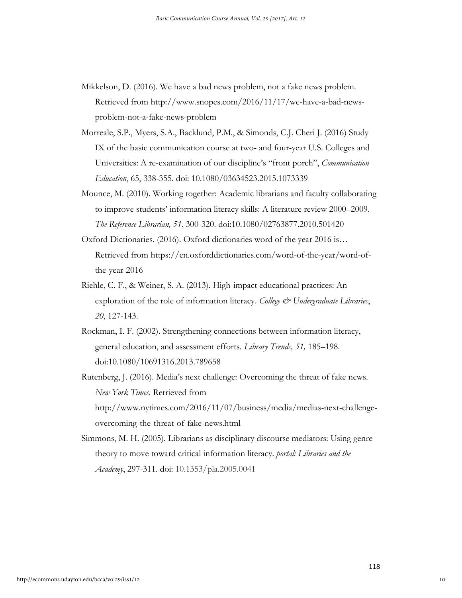- Mikkelson, D. (2016). We have a bad news problem, not a fake news problem. Retrieved from http://www.snopes.com/2016/11/17/we-have-a-bad-newsproblem-not-a-fake-news-problem
- Morreale, S.P., Myers, S.A., Backlund, P.M., & Simonds, C.J. Cheri J. (2016) Study IX of the basic communication course at two- and four-year U.S. Colleges and Universities: A re-examination of our discipline's "front porch", *Communication Education*, 65, 338-355. doi: 10.1080/03634523.2015.1073339
- Mounce, M. (2010). Working together: Academic librarians and faculty collaborating to improve students' information literacy skills: A literature review 2000–2009. *The Reference Librarian, 51*, 300-320. doi[:10.1080/02763877.2010.501420](http://dx.doi.org/10.1080/02763877.2010.501420)
- Oxford Dictionaries. (2016). Oxford dictionaries word of the year 2016 is… Retrieved from https://en.oxforddictionaries.com/word-of-the-year/word-ofthe-year-2016
- Riehle, C. F., & Weiner, S. A. (2013). High-impact educational practices: An exploration of the role of information literacy. *College & Undergraduate Libraries*, *20*, 127-143.
- Rockman, I. F. (2002). Strengthening connections between information literacy, general education, and assessment efforts. *Library Trends, 51,* 185–198. doi[:10.1080/10691316.2013.789658](http://dx.doi.org/10.1080/10691316.2013.789658)
- Rutenberg, J. (2016). Media's next challenge: Overcoming the threat of fake news. *New York Times*. Retrieved from http://www.nytimes.com/2016/11/07/business/media/medias-next-challengeovercoming-the-threat-of-fake-news.html
- Simmons, M. H. (2005). Librarians as disciplinary discourse mediators: Using genre theory to move toward critical information literacy. *portal: Libraries and the Academy*, 297-311. doi: 10.1353/pla.2005.0041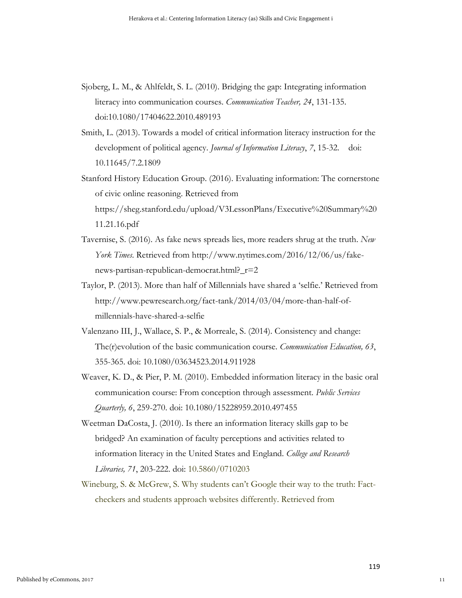- Sjoberg, L. M., & Ahlfeldt, S. L. (2010). Bridging the gap: Integrating information literacy into communication courses. *Communication Teacher, 24*, 131-135. doi[:10.1080/17404622.2010.489193](http://dx.doi.org/10.1080/17404622.2010.489193)
- Smith, L. (2013). Towards a model of critical information literacy instruction for the development of political agency. *Journal of Information Literacy*, *7*, 15-32. doi: 10.11645/7.2.1809
- Stanford History Education Group. (2016). Evaluating information: The cornerstone of civic online reasoning. Retrieved from https://sheg.stanford.edu/upload/V3LessonPlans/Executive%20Summary%20 11.21.16.pdf
- Tavernise, S. (2016). As fake news spreads lies, more readers shrug at the truth. *New York Times*. Retrieved from http://www.nytimes.com/2016/12/06/us/fakenews-partisan-republican-democrat.html?\_r=2
- Taylor, P. (2013). More than half of Millennials have shared a 'selfie.' Retrieved from http://www.pewresearch.org/fact-tank/2014/03/04/more-than-half-ofmillennials-have-shared-a-selfie
- Valenzano III, J., Wallace, S. P., & Morreale, S. (2014). Consistency and change: The(r)evolution of the basic communication course. *Communication Education, 63*, 355-365. doi: 10.1080/03634523.2014.911928
- Weaver, K. D., & Pier, P. M. (2010). Embedded information literacy in the basic oral communication course: From conception through assessment. *Public Services Quarterly, 6*, 259-270. doi: [10.1080/15228959.2010.497455](http://dx.doi.org/10.1080/15228959.2010.497455)
- Weetman DaCosta, J. (2010). Is there an information literacy skills gap to be bridged? An examination of faculty perceptions and activities related to information literacy in the United States and England. *College and Research Libraries, 71*, 203-222. doi: 10.5860/0710203
- Wineburg, S. & McGrew, S. Why students can't Google their way to the truth: Factcheckers and students approach websites differently. Retrieved from